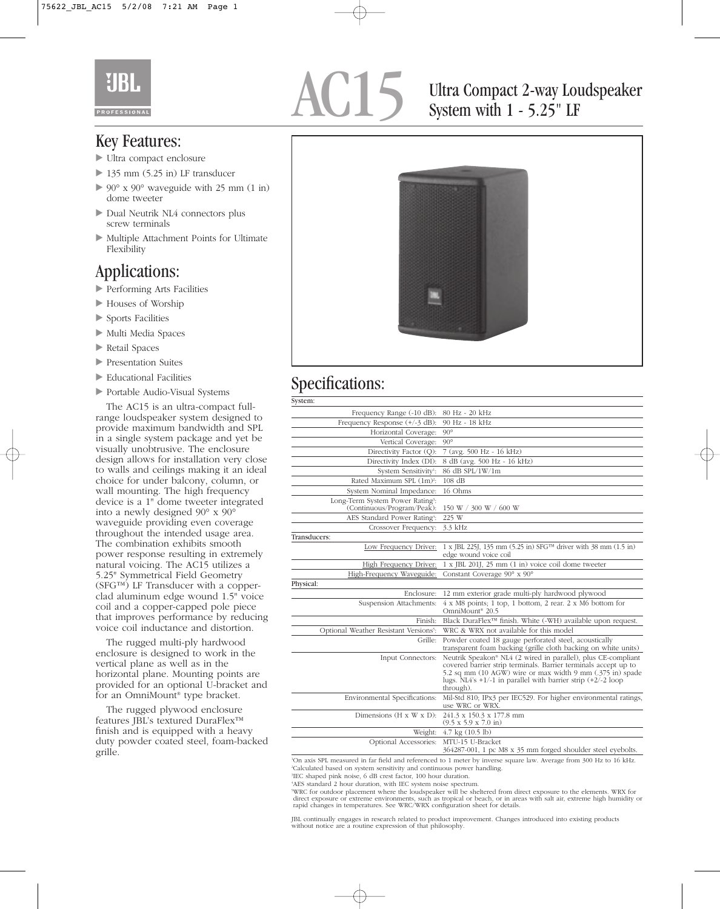

AC15 Ultra Compact 2-way Loudspeaker<br>System with 1 - 5.25" LF System with 1 - 5.25" LF

### Key Features:

- Ultra compact enclosure
- ► 135 mm (5.25 in) LF transducer
- $\triangleright$  90° x 90° waveguide with 25 mm (1 in) dome tweeter
- Dual Neutrik NL4 connectors plus screw terminals
- Multiple Attachment Points for Ultimate Flexibility

## Applications:

- Performing Arts Facilities
- Houses of Worship
- Sports Facilities
- Multi Media Spaces
- lacked Retail Spaces
- Presentation Suites
- Educational Facilities
- Portable Audio-Visual Systems

The AC15 is an ultra-compact fullrange loudspeaker system designed to provide maximum bandwidth and SPL in a single system package and yet be visually unobtrusive. The enclosure design allows for installation very close to walls and ceilings making it an ideal choice for under balcony, column, or wall mounting. The high frequency device is a 1" dome tweeter integrated into a newly designed 90° x 90° waveguide providing even coverage throughout the intended usage area. The combination exhibits smooth power response resulting in extremely natural voicing. The AC15 utilizes a 5.25" Symmetrical Field Geometry (SFG™) LF Transducer with a copperclad aluminum edge wound 1.5" voice coil and a copper-capped pole piece that improves performance by reducing voice coil inductance and distortion.

The rugged multi-ply hardwood enclosure is designed to work in the vertical plane as well as in the horizontal plane. Mounting points are provided for an optional U-bracket and for an OmniMount® type bracket.

The rugged plywood enclosure features JBL's textured DuraFlex™ finish and is equipped with a heavy duty powder coated steel, foam-backed grille.



## Specifications:

| System:                                                                    |                                                                                                                                                                                                                                                                                |
|----------------------------------------------------------------------------|--------------------------------------------------------------------------------------------------------------------------------------------------------------------------------------------------------------------------------------------------------------------------------|
| Frequency Range (-10 dB):                                                  | 80 Hz - 20 kHz                                                                                                                                                                                                                                                                 |
| Frequency Response $(+/-3$ dB):                                            | 90 Hz - 18 kHz                                                                                                                                                                                                                                                                 |
| Horizontal Coverage:                                                       | $90^{\circ}$                                                                                                                                                                                                                                                                   |
| Vertical Coverage:                                                         | $90^\circ$                                                                                                                                                                                                                                                                     |
| Directivity Factor (Q):                                                    | 7 (avg. 500 Hz - 16 kHz)                                                                                                                                                                                                                                                       |
| Directivity Index (DI):                                                    | 8 dB (avg. 500 Hz - 16 kHz)                                                                                                                                                                                                                                                    |
| System Sensitivity <sup>1</sup> :                                          | 86 dB SPL/1W/1m                                                                                                                                                                                                                                                                |
| Rated Maximum SPL (1m) <sup>2</sup> :                                      | $108$ dB                                                                                                                                                                                                                                                                       |
| System Nominal Impedance:                                                  | 16 Ohms                                                                                                                                                                                                                                                                        |
| Long-Term System Power Rating <sup>3</sup> :<br>(Continuous/Program/Peak): | 150 W / 300 W / 600 W                                                                                                                                                                                                                                                          |
| AES Standard Power Rating4:                                                | 225 W                                                                                                                                                                                                                                                                          |
| Crossover Frequency:                                                       | 3.3 kHz                                                                                                                                                                                                                                                                        |
| Transducers:                                                               |                                                                                                                                                                                                                                                                                |
| Low Frequency Driver:                                                      | 1 x JBL 225J, 135 mm (5.25 in) SFG™ driver with 38 mm (1.5 in)<br>edge wound voice coil                                                                                                                                                                                        |
| High Frequency Driver:                                                     | 1 x JBL 201J, 25 mm (1 in) voice coil dome tweeter                                                                                                                                                                                                                             |
| High-Frequency Waveguide:                                                  | Constant Coverage 90° x 90°                                                                                                                                                                                                                                                    |
| Physical:                                                                  |                                                                                                                                                                                                                                                                                |
| Enclosure:                                                                 | 12 mm exterior grade multi-ply hardwood plywood                                                                                                                                                                                                                                |
| Suspension Attachments:                                                    | $4 \times M8$ points; 1 top, 1 bottom, 2 rear. 2 x M6 bottom for<br>OmniMount <sup>®</sup> 20.5                                                                                                                                                                                |
| Finish:                                                                    | Black DuraFlex <sup>™</sup> finish. White (-WH) available upon request.                                                                                                                                                                                                        |
| Optional Weather Resistant Versions5:                                      | WRC & WRX not available for this model                                                                                                                                                                                                                                         |
| Grille:                                                                    | Powder coated 18 gauge perforated steel, acoustically<br>transparent foam backing (grille cloth backing on white units)                                                                                                                                                        |
| Input Connectors:                                                          | Neutrik Speakon® NL4 (2 wired in parallel), plus CE-compliant<br>covered barrier strip terminals. Barrier terminals accept up to<br>5.2 sq mm (10 AGW) wire or max width 9 mm (.375 in) spade<br>lugs. $NL4's +1/-1$ in parallel with barrier strip $(+2/-2$ loop<br>through). |
| Environmental Specifications:                                              | Mil-Std 810; IPx3 per IEC529. For higher environmental ratings,<br>use WRC or WRX.                                                                                                                                                                                             |
| Dimensions ( $H \times W \times D$ ):                                      | 241.3 x 150.3 x 177.8 mm<br>$(9.5 \times 5.9 \times 7.0 \text{ in})$                                                                                                                                                                                                           |
| Weight:                                                                    | $4.7 \text{ kg} (10.5 \text{ lb})$                                                                                                                                                                                                                                             |
| Optional Accessories:                                                      | MTU-15 U-Bracket<br>364287-001, 1 pc M8 x 35 mm forged shoulder steel eyebolts.                                                                                                                                                                                                |

1 On axis SPL measured in far field and referenced to 1 meter by inverse square law. Average from 300 Hz to 16 kHz. 2 Calculated based on system sensitivity and continuous power handling.

3 IEC shaped pink noise, 6 dB crest factor, 100 hour duration.

4 AES standard 2 hour duration, with IEC system noise spectrum.

WRC for outdoor placement where the loudspeaker will be sheltered from direct exposure to the elements. WRX for<br>direct exposure or extreme environments, such as tropical or beach, or in areas with salt air, extreme high hu rapid changes in temperatures. See WRC/WRX configuration sheet for details.

JBL continually engages in research related to product improvement. Changes introduced into existing products without notice are a routine expression of that philosophy.